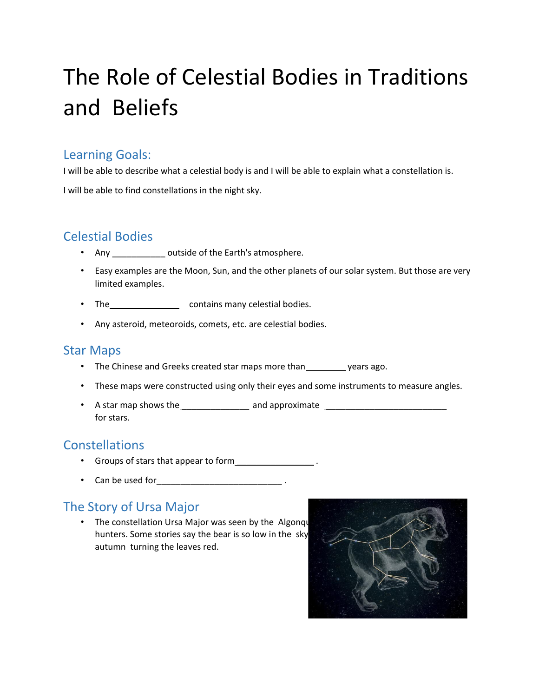# The Role of Celestial Bodies in Traditions and Beliefs

### Learning Goals:

I will be able to describe what a celestial body is and I will be able to explain what a constellation is.

I will be able to find constellations in the night sky.

## Celestial Bodies

- Any outside of the Earth's atmosphere.
- Easy examples are the Moon, Sun, and the other planets of our solar system. But those are very limited examples.
- The\_\_\_\_\_\_\_\_\_\_\_\_\_\_\_\_\_\_\_ contains many celestial bodies.
- Any asteroid, meteoroids, comets, etc. are celestial bodies.

#### Star Maps

- The Chinese and Greeks created star maps more than years ago.
- These maps were constructed using only their eyes and some instruments to measure angles.
- A star map shows the and approximate and approximate for stars.

## **Constellations**

- Groups of stars that appear to form **contained**  $\cdot$  **contains the start of orm**  $\cdot$
- Can be used for **contained contained .**

## The Story of Ursa Major

• The constellation Ursa Major was seen by the Algonqu hunters. Some stories say the bear is so low in the sky autumn turning the leaves red.